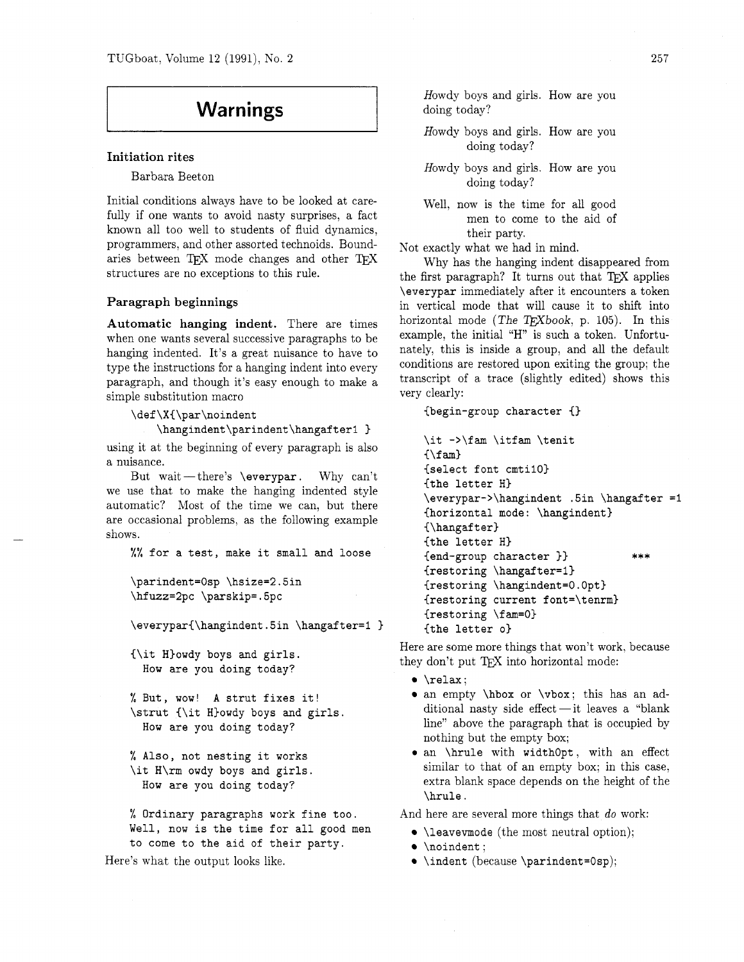# **Warnings**

## **Initiation rites**

Barbara Beeton

Initial conditions always have to be looked at carefully if one wants to avoid nasty surprises, a fact known all too well to students of fluid dynamics, programmers, and other assorted technoids. Boundaries between TEX mode changes and other TEX structures are no exceptions to this rule.

## **Paragraph beginnings**

**Automatic hanging indent.** There are times when one wants several successive paragraphs to be hanging indented. It's a great nuisance to have to type the instructions for a hanging indent into every paragraph, and though it's easy enough to make a simple substitution macro

\def\X{\par\noindent

\hangindent\parindent\hangafter1 }

using it at the beginning of every paragraph is also a nuisance.

But wait -- there's  $\ver{par}$ . Why can't we use that to make the hanging indented style automatic? Most of the time we can, but there are occasional problems, as the following example shows.

%% for a test, make it small and loose

```
\parindent=0sp \hsize=2.5in
\hfuzz=2pc \parskip=.5pc
```
\everypar{\hangindent.5in \hangafter=1 }

{\it Hlowdy boys and girls. How are you doing today?

% But, wow! A strut fixes it! \strut {\it H)owdy boys and girls. How are you doing today?

% Also, not nesting it works \it H\rm owdy boys and girls. How are you doing today?

% Ordinary paragraphs work fine too. Well, now is the time for all good men to come to the aid of their party.

Here's what the output looks like.

Howdy boys and girls. How are you doing today?

Howdy boys and girls. How are you doing today?

- Howdy boys and girls. How are you doing today?
- Well, now is the time for all good men to come to the aid of their party.

Not exactly what we had in mind.

Why has the hanging indent disappeared from the first paragraph? It turns out that TFX applies \everypar immediately after it encounters a token in vertical mode that will cause it to shift into horizontal mode (The TEXbook, p. 105). In this example, the initial "H" is such a token. Unfortunately, this is inside a group, and all the default conditions are restored upon exiting the group; the transcript of a trace (slightly edited) shows this very clearly:

{begin-group character {)

```
\it ->\fam \itfam \tenit
\{\lambda fam}
{select font cmtil0) 
{the letter HI 
\everypar->\hangindent .5in \hangafter =1 
{horizontal mode: \hangindent) 
{\hbox{\texttt{\}}\xspace}{the letter H) 
{end-group character )) *** 
{restoring \hangafter=l) 
{restoring \hangindent=O.Opt) 
{restoring current font=\tenrm) 
{restoring \fam=O) 
{the letter 01
```
Here are some more things that won't work, because they don't put TEX into horizontal mode:

- \relax;
- Arelax;<br>
an empty \hbox or \vbox; this has an ad-<br>
ditional nasty side effect it leaves a "blank<br>
line" above the new weak that is accurated by line" above the paragraph that is occupied by nothing but the empty box;
- an \hrule with widthopt, with an effect similar to that of an empty box; in this case, extra blank space depends on the height of the \hrule .

And here are several more things that do work:

- $\bullet$  \leavevmode (the most neutral option);
- \noindent:
- \indent (because \parindent=Osp):